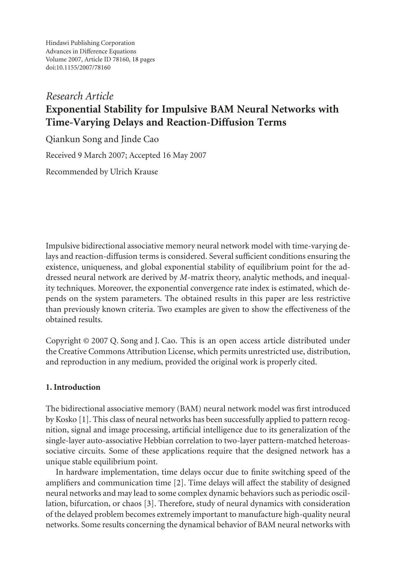Hindawi Publishing Corporation Advances in Difference Equations Volume 2007, Article ID 78160, [18](#page-16-0) pages doi:10.1155/2007/78160

# *Research Article* **Exponential Stability for Impulsive BAM Neural Networks with Time-Varying Delays and Reaction-Diffusion Terms**

Qiankun Song and Jinde Cao Received 9 March 2007; Accepted 16 May 2007 Recommended by Ulrich Krause

Impulsive bidirectional associative memory neural network model with time-varying delays and reaction-diffusion terms is considered. Several sufficient conditions ensuring the existence, uniqueness, and global exponential stability of equilibrium point for the addressed neural network are derived by *M*-matrix theory, analytic methods, and inequality techniques. Moreover, the exponential convergence rate index is estimated, which depends on the system parameters. The obtained results in this paper are less restrictive than previously known criteria. Two examples are given to show the effectiveness of the obtained results.

Copyright © 2007 Q. Song and J. Cao. This is an open access article distributed under the Creative Commons Attribution License, which permits unrestricted use, distribution, and reproduction in any medium, provided the original work is properly cited.

# **1. Introduction**

The bidirectional associative memory (BAM) neural network model was first introduced by Kosko [\[1\]](#page-16-1). This class of neural networks has been successfully applied to pattern recognition, signal and image processing, artificial intelligence due to its generalization of the single-layer auto-associative Hebbian correlation to two-layer pattern-matched heteroassociative circuits. Some of these applications require that the designed network has a unique stable equilibrium point.

In hardware implementation, time delays occur due to finite switching speed of the amplifiers and communication time [\[2\]](#page-16-2). Time delays will affect the stability of designed neural networks and may lead to some complex dynamic behaviors such as periodic oscillation, bifurcation, or chaos [\[3\]](#page-16-3). Therefore, study of neural dynamics with consideration of the delayed problem becomes extremely important to manufacture high-quality neural networks. Some results concerning the dynamical behavior of BAM neural networks with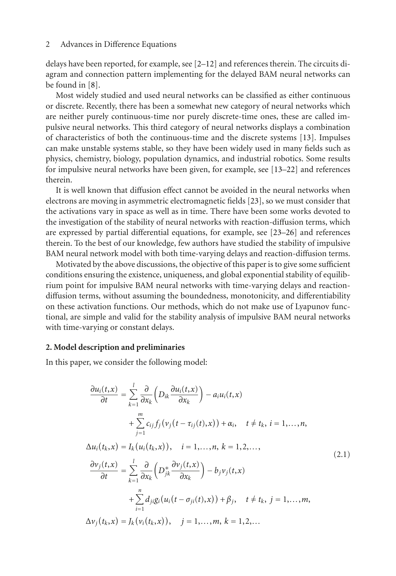delays have been reported, for example, see [\[2](#page-16-2)[–12\]](#page-16-4) and references therein. The circuits diagram and connection pattern implementing for the delayed BAM neural networks can be found in [\[8](#page-16-5)].

Most widely studied and used neural networks can be classified as either continuous or discrete. Recently, there has been a somewhat new category of neural networks which are neither purely continuous-time nor purely discrete-time ones, these are called impulsive neural networks. This third category of neural networks displays a combination of characteristics of both the continuous-time and the discrete systems [\[13\]](#page-16-6). Impulses can make unstable systems stable, so they have been widely used in many fields such as physics, chemistry, biology, population dynamics, and industrial robotics. Some results for impulsive neural networks have been given, for example, see [\[13](#page-16-6)[–22\]](#page-17-0) and references therein.

It is well known that diffusion effect cannot be avoided in the neural networks when electrons are moving in asymmetric electromagnetic fields [\[23\]](#page-17-1), so we must consider that the activations vary in space as well as in time. There have been some works devoted to the investigation of the stability of neural networks with reaction-diffusion terms, which are expressed by partial differential equations, for example, see [\[23](#page-17-1)[–26\]](#page-17-2) and references therein. To the best of our knowledge, few authors have studied the stability of impulsive BAM neural network model with both time-varying delays and reaction-diffusion terms.

Motivated by the above discussions, the objective of this paper is to give some sufficient conditions ensuring the existence, uniqueness, and global exponential stability of equilibrium point for impulsive BAM neural networks with time-varying delays and reactiondiffusion terms, without assuming the boundedness, monotonicity, and differentiability on these activation functions. Our methods, which do not make use of Lyapunov functional, are simple and valid for the stability analysis of impulsive BAM neural networks with time-varying or constant delays.

## **2. Model description and preliminaries**

In this paper, we consider the following model:

<span id="page-1-0"></span>
$$
\frac{\partial u_i(t,x)}{\partial t} = \sum_{k=1}^l \frac{\partial}{\partial x_k} \left( D_{ik} \frac{\partial u_i(t,x)}{\partial x_k} \right) - a_i u_i(t,x) \n+ \sum_{j=1}^m c_{ij} f_j(v_j(t-\tau_{ij}(t),x)) + \alpha_i, \quad t \neq t_k, \, i = 1, \ldots, n, \n\Delta u_i(t_k,x) = I_k(u_i(t_k,x)), \quad i = 1, \ldots, n, \, k = 1, 2, \ldots, \n\frac{\partial v_j(t,x)}{\partial t} = \sum_{k=1}^l \frac{\partial}{\partial x_k} \left( D_{jk}^* \frac{\partial v_j(t,x)}{\partial x_k} \right) - b_j v_j(t,x) \n+ \sum_{i=1}^n d_{ji} g_i(u_i(t-\sigma_{ji}(t),x)) + \beta_j, \quad t \neq t_k, \, j = 1, \ldots, m, \n\Delta v_j(t_k,x) = J_k(v_i(t_k,x)), \quad j = 1, \ldots, m, \, k = 1, 2, \ldots
$$
\n(2.1)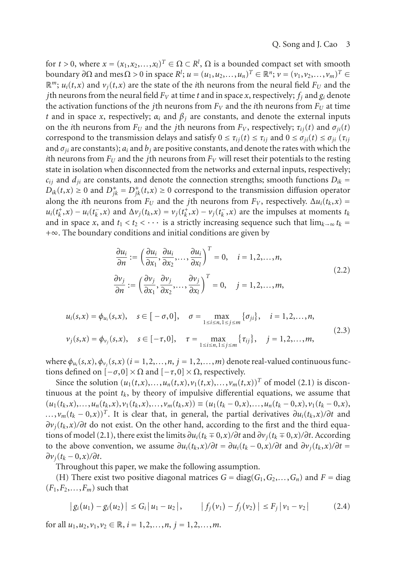for  $t > 0$ , where  $x = (x_1, x_2, \ldots, x_l)^T \in \Omega \subset \mathbb{R}^l$ ,  $\Omega$  is a bounded compact set with smooth  $b$ oundary *∂*Ω and mesΩ > 0 in space *R<sup>1</sup>*; *u* = (*u*<sub>1</sub>,*u*<sub>2</sub>,...,*u*<sub>*n*</sub>)<sup>*T*</sup> ∈  $\mathbb{R}^n$ ; *v* = (*v*<sub>1</sub>,*v*<sub>2</sub>,...,*v*<sub>*m*</sub>)<sup>*T*</sup> ∈  $\mathbb{R}^m$ ;  $u_i(t, x)$  and  $v_i(t, x)$  are the state of the *i*th neurons from the neural field  $F_U$  and the *j*th neurons from the neural field  $F_V$  at time *t* and in space *x*, respectively;  $f_i$  and  $g_i$  denote the activation functions of the *j*th neurons from  $F_V$  and the *i*th neurons from  $F_U$  at time *t* and in space *x*, respectively;  $\alpha_i$  and  $\beta_j$  are constants, and denote the external inputs on the *i*th neurons from  $F_U$  and the *j*th neurons from  $F_V$ , respectively;  $\tau_{ii}(t)$  and  $\sigma_{ii}(t)$ correspond to the transmission delays and satisfy  $0 \le \tau_{ij}(t) \le \tau_{ij}$  and  $0 \le \sigma_{ji}(t) \le \sigma_{ji}(\tau_{ij})$ and  $\sigma_{ii}$  are constants);  $a_i$  and  $b_j$  are positive constants, and denote the rates with which the *i*th neurons from  $F_U$  and the *j*th neurons from  $F_V$  will reset their potentials to the resting state in isolation when disconnected from the networks and external inputs, respectively;  $c_{ij}$  and  $d_{ji}$  are constants, and denote the connection strengths; smooth functions  $D_{ik}$  = *D<sub>ik</sub>*(*t*,*x*) ≥ 0 and  $D_{jk}^* = D_{jk}^*(t, x) ≥ 0$  correspond to the transmission diffusion operator along the *i*th neurons from  $F_U$  and the *j*th neurons from  $F_V$ , respectively.  $\Delta u_i(t_k, x) =$  $u_i(t_k^+,x) - u_i(t_k^-,x)$  and  $\Delta v_j(t_k,x) = v_j(t_k^+,x) - v_j(t_k^-,x)$  are the impulses at moments  $t_k$ and in space *x*, and  $t_1 < t_2 < \cdots$  is a strictly increasing sequence such that  $\lim_{k \to \infty} t_k =$ +∞. The boundary conditions and initial conditions are given by

<span id="page-2-0"></span>
$$
\frac{\partial u_i}{\partial n} := \left(\frac{\partial u_i}{\partial x_1}, \frac{\partial u_i}{\partial x_2}, \dots, \frac{\partial u_i}{\partial x_l}\right)^T = 0, \quad i = 1, 2, \dots, n,
$$
\n
$$
\frac{\partial v_j}{\partial n} := \left(\frac{\partial v_j}{\partial x_1}, \frac{\partial v_j}{\partial x_2}, \dots, \frac{\partial v_j}{\partial x_l}\right)^T = 0, \quad j = 1, 2, \dots, m,
$$
\n(2.2)

$$
u_i(s,x) = \phi_{u_i}(s,x), \quad s \in [-\sigma,0], \quad \sigma = \max_{1 \le i \le n, 1 \le j \le m} {\{\sigma_{ji}\}}, \quad i = 1,2,...,n,
$$
  

$$
v_j(s,x) = \phi_{v_j}(s,x), \quad s \in [-\tau,0], \quad \tau = \max_{1 \le i \le n, 1 \le j \le m} {\{\tau_{ij}\}}, \quad j = 1,2,...,m,
$$

$$
(2.3)
$$

where  $\phi_{u_i}(s, x)$ ,  $\phi_{v_i}(s, x)$  ( $i = 1, 2, ..., n$ ,  $j = 1, 2, ..., m$ ) denote real-valued continuous functions defined on  $[-\sigma, 0] \times \Omega$  and  $[-\tau, 0] \times \Omega$ , respectively.

Since the solution  $(u_1(t,x),...,u_n(t,x),v_1(t,x),...,v_m(t,x))^T$  of model [\(2.1\)](#page-1-0) is discontinuous at the point  $t_k$ , by theory of impulsive differential equations, we assume that  $(u_1(t_k,x),...,u_n(t_k,x),v_1(t_k,x),...,v_m(t_k,x)) \equiv (u_1(t_k-0,x),...,u_n(t_k-0,x),v_1(t_k-0,x),$  $\ldots$ ,  $\nu_m(t_k - 0, x)$ <sup>T</sup>. It is clear that, in general, the partial derivatives  $\partial u_i(t_k, x)/\partial t$  and *∂vj*(*tk*,*x*)*/∂t* do not exist. On the other hand, according to the first and the third equa-tions of model [\(2.1\)](#page-1-0), there exist the limits  $\partial u_i(t_k \mp 0, x)/\partial t$  and  $\partial v_i(t_k \mp 0, x)/\partial t$ . According to the above convention, we assume  $\partial u_i(t_k, x)/\partial t = \partial u_i(t_k - 0, x)/\partial t$  and  $\partial v_i(t_k, x)/\partial t =$ *∂vj*(*tk* − 0,*x*)*/∂t*.

Throughout this paper, we make the following assumption.

(H) There exist two positive diagonal matrices  $G = diag(G_1, G_2, \ldots, G_n)$  and  $F = diag$  $(F_1, F_2, \ldots, F_m)$  such that

$$
|g_i(u_1) - g_i(u_2)| \le G_i |u_1 - u_2|, \qquad |f_j(v_1) - f_j(v_2)| \le F_j |v_1 - v_2| \tag{2.4}
$$

for all  $u_1, u_2, v_1, v_2 \in \mathbb{R}$ ,  $i = 1, 2, ..., n$ ,  $j = 1, 2, ..., m$ .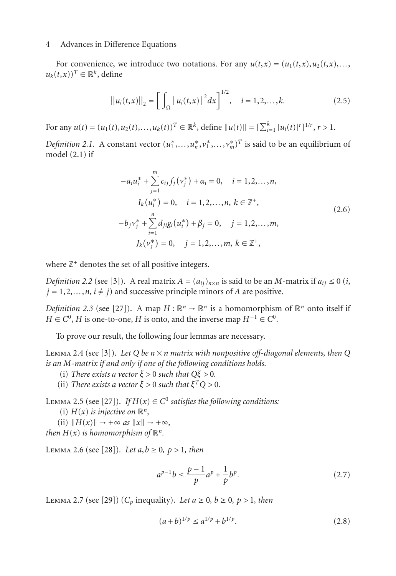For convenience, we introduce two notations. For any  $u(t,x) = (u_1(t,x), u_2(t,x),...$  $u_k(t, x)$ <sup>*T*</sup> ∈  $\mathbb{R}^k$ , define

$$
||u_i(t,x)||_2 = \left[\int_{\Omega} |u_i(t,x)|^2 dx\right]^{1/2}, \quad i = 1,2,\ldots,k.
$$
 (2.5)

For any  $u(t) = (u_1(t), u_2(t), \dots, u_k(t))^T \in \mathbb{R}^k$ , define  $||u(t)|| = [\sum_{i=1}^k |u_i(t)|^r]^{1/r}$ ,  $r > 1$ .

*Definition 2.1.* A constant vector  $(u_1^*,...,u_n^*,v_1^*,...,v_m^*)^T$  is said to be an equilibrium of model [\(2.1\)](#page-1-0) if

$$
-a_i u_i^* + \sum_{j=1}^m c_{ij} f_j(v_j^*) + \alpha_i = 0, \quad i = 1, 2, ..., n,
$$
  
\n
$$
I_k(u_i^*) = 0, \quad i = 1, 2, ..., n, \ k \in \mathbb{Z}^+,
$$
  
\n
$$
-b_j v_j^* + \sum_{i=1}^n d_{ji} g_i(u_i^*) + \beta_j = 0, \quad j = 1, 2, ..., m,
$$
  
\n
$$
J_k(v_j^*) = 0, \quad j = 1, 2, ..., m, \ k \in \mathbb{Z}^+,
$$
  
\n(2.6)

where  $\mathbb{Z}^+$  denotes the set of all positive integers.

*Definition 2.2* (see [\[3](#page-16-3)]). A real matrix  $A = (a_{ij})_{n \times n}$  is said to be an *M*-matrix if  $a_{ij} \le 0$  (*i*,  $j = 1, 2, \ldots, n, i \neq j$  and successive principle minors of *A* are positive.

*Definition 2.3* (see [\[27](#page-17-3)]). A map  $H : \mathbb{R}^n \to \mathbb{R}^n$  is a homomorphism of  $\mathbb{R}^n$  onto itself if  $H \in C^0$ , *H* is one-to-one, *H* is onto, and the inverse map  $H^{-1} \in C^0$ .

To prove our result, the following four lemmas are necessary.

<span id="page-3-1"></span>LEMMA 2.4 (see [\[3\]](#page-16-3)). Let Q be  $n \times n$  matrix with nonpositive off-diagonal elements, then Q *is an M-matrix if and only if one of the following conditions holds.*

- (i) *There exists a vector*  $\xi > 0$  *such that*  $Q\xi > 0$ *.*
- (ii) *There exists a vector*  $\xi > 0$  *such that*  $\xi^T Q > 0$ *.*

<span id="page-3-2"></span>LEMMA 2.5 (see [\[27](#page-17-3)]). *If*  $H(x) \in C^0$  *satisfies the following conditions:* 

- (i)  $H(x)$  *is injective on*  $\mathbb{R}^n$ *,*
- $(ii)$   $||H(x)|| \rightarrow +\infty$  *as*  $||x|| \rightarrow +\infty$ ,

*then*  $H(x)$  *is homomorphism of*  $\mathbb{R}^n$ *.* 

<span id="page-3-0"></span>**LEMMA 2.6 (see [\[28](#page-17-4)]).** *Let*  $a, b \ge 0, p > 1$ , *then* 

$$
a^{p-1}b \le \frac{p-1}{p}a^p + \frac{1}{p}b^p. \tag{2.7}
$$

<span id="page-3-3"></span>LEMMA 2.7 (see [\[29](#page-17-5)]) ( $C_p$  inequality). Let *a* ≥ 0*, b* ≥ 0*, p* > 1*, then* 

$$
(a+b)^{1/p} \le a^{1/p} + b^{1/p}.\tag{2.8}
$$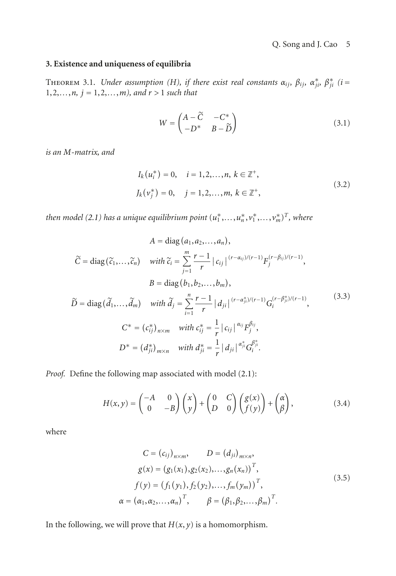## <span id="page-4-0"></span>**3. Existence and uniqueness of equilibria**

**THEOREM 3.1.** Under assumption (H), if there exist real constants  $\alpha_{ij}, \beta_{ij}, \alpha_{ji}^*, \beta_{ji}^*$  (i = 1,2,*...*,*n, j* = 1,2,*...*,*m), and r >* 1 *such that*

$$
W = \begin{pmatrix} A - \widetilde{C} & -C^* \\ -D^* & B - \widetilde{D} \end{pmatrix}
$$
 (3.1)

*is an M-matrix, and*

$$
I_k(u_i^*) = 0, \quad i = 1, 2, ..., n, \ k \in \mathbb{Z}^+,
$$
  

$$
J_k(v_j^*) = 0, \quad j = 1, 2, ..., m, \ k \in \mathbb{Z}^+,
$$
 (3.2)

*then model [\(2.1\)](#page-1-0) has a unique equilibrium point*  $(u_1^*,...,u_n^*,v_1^*,...,v_m^*)^T$ *, where* 

$$
A = \text{diag}(a_1, a_2, ..., a_n),
$$
\n
$$
\widetilde{C} = \text{diag}(\widetilde{c}_1, ..., \widetilde{c}_n) \quad \text{with } \widetilde{c}_i = \sum_{j=1}^m \frac{r-1}{r} |c_{ij}|^{(r-\alpha_{ij})/(r-1)} F_j^{(r-\beta_{ij})/(r-1)},
$$
\n
$$
B = \text{diag}(b_1, b_2, ..., b_m),
$$
\n
$$
\widetilde{D} = \text{diag}(\widetilde{d}_1, ..., \widetilde{d}_m) \quad \text{with } \widetilde{d}_j = \sum_{i=1}^n \frac{r-1}{r} |d_{ji}|^{(r-\alpha_{ji}^*)/(r-1)} G_i^{(r-\beta_{ji}^*)/(r-1)},
$$
\n
$$
C^* = (c_{ij}^*)_{n \times m} \quad \text{with } c_{ij}^* = \frac{1}{r} |c_{ij}|^{\alpha_{ij}} F_j^{\beta_{ij}},
$$
\n
$$
D^* = (d_{ji}^*)_{m \times n} \quad \text{with } d_{ji}^* = \frac{1}{r} |d_{ji}|^{\alpha_{ji}^*} G_i^{\beta_{ji}^*}.
$$
\n(3.3)

*Proof.* Define the following map associated with model [\(2.1\)](#page-1-0):

$$
H(x,y) = \begin{pmatrix} -A & 0 \\ 0 & -B \end{pmatrix} \begin{pmatrix} x \\ y \end{pmatrix} + \begin{pmatrix} 0 & C \\ D & 0 \end{pmatrix} \begin{pmatrix} g(x) \\ f(y) \end{pmatrix} + \begin{pmatrix} \alpha \\ \beta \end{pmatrix},
$$
(3.4)

where

$$
C = (c_{ij})_{n \times m}, \qquad D = (d_{ji})_{m \times n},
$$
  
\n
$$
g(x) = (g_1(x_1), g_2(x_2), \dots, g_n(x_n))^T,
$$
  
\n
$$
f(y) = (f_1(y_1), f_2(y_2), \dots, f_m(y_m))^T,
$$
  
\n
$$
\alpha = (\alpha_1, \alpha_2, \dots, \alpha_n)^T, \qquad \beta = (\beta_1, \beta_2, \dots, \beta_m)^T.
$$
\n(3.5)

In the following, we will prove that  $H(x, y)$  is a homomorphism.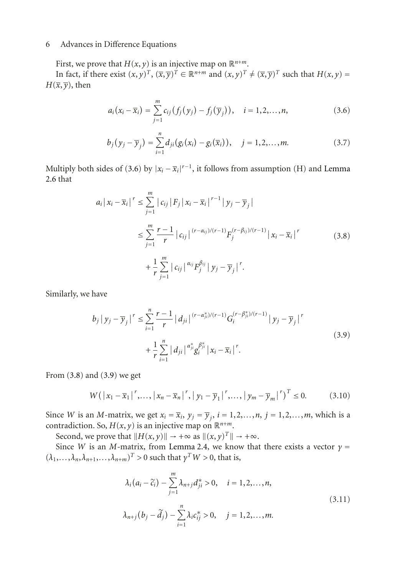First, we prove that  $H(x, y)$  is an injective map on  $\mathbb{R}^{n+m}$ .

In fact, if there exist  $(x, y)^T$ ,  $(\overline{x}, \overline{y})^T \in \mathbb{R}^{n+m}$  and  $(x, y)^T \neq (\overline{x}, \overline{y})^T$  such that  $H(x, y) =$  $H(\overline{x}, \overline{v})$ , then

<span id="page-5-0"></span>
$$
a_i(x_i - \overline{x}_i) = \sum_{j=1}^m c_{ij} (f_j(y_j) - f_j(\overline{y}_j)), \quad i = 1, 2, ..., n,
$$
 (3.6)

$$
b_j(y_j - \overline{y}_j) = \sum_{i=1}^n d_{ji}(g_i(x_i) - g_i(\overline{x}_i)), \quad j = 1, 2, ..., m.
$$
 (3.7)

Multiply both sides of [\(3.6\)](#page-5-0) by  $|x_i - \overline{x}_i|^{r-1}$ , it follows from assumption (H) and [Lemma](#page-3-0) [2.6](#page-3-0) that

<span id="page-5-1"></span>
$$
a_{i} |x_{i} - \overline{x}_{i}|^{r} \leq \sum_{j=1}^{m} |c_{ij}| F_{j} |x_{i} - \overline{x}_{i}|^{r-1} |y_{j} - \overline{y}_{j}|
$$
  

$$
\leq \sum_{j=1}^{m} \frac{r-1}{r} |c_{ij}|^{(r-\alpha_{ij})/(r-1)} F_{j}^{(r-\beta_{ij})/(r-1)} |x_{i} - \overline{x}_{i}|^{r}
$$
  

$$
+ \frac{1}{r} \sum_{j=1}^{m} |c_{ij}|^{\alpha_{ij}} F_{j}^{\beta_{ij}} |y_{j} - \overline{y}_{j}|^{r}.
$$
 (3.8)

Similarly, we have

<span id="page-5-2"></span>
$$
b_j | y_j - \overline{y}_j |^r \le \sum_{i=1}^n \frac{r-1}{r} |d_{ji}|^{(r-\alpha_{ji}^*)/(r-1)} G_i^{(r-\beta_{ji}^*)/(r-1)} |y_j - \overline{y}_j|^r
$$
  
+ 
$$
\frac{1}{r} \sum_{i=1}^n |d_{ji}|^{\alpha_{ji}^*} \beta_i^{\beta_{ji}^*} |x_i - \overline{x}_i|^r.
$$
 (3.9)

From [\(3.8\)](#page-5-1) and [\(3.9\)](#page-5-2) we get

$$
W(|x_1 - \overline{x}_1|^r, \dots, |x_n - \overline{x}_n|^r, |y_1 - \overline{y}_1|^r, \dots, |y_m - \overline{y}_m|^r)^T \le 0.
$$
 (3.10)

Since *W* is an *M*-matrix, we get  $x_i = \overline{x}_i$ ,  $y_j = \overline{y}_j$ ,  $i = 1, 2, ..., n$ ,  $j = 1, 2, ..., m$ , which is a contradiction. So,  $H(x, y)$  is an injective map on  $\mathbb{R}^{n+m}$ .

Second, we prove that  $||H(x, y)|| \rightarrow +\infty$  as  $||(x, y)^T|| \rightarrow +\infty$ .

Since *W* is an *M*-matrix, from [Lemma 2.4,](#page-3-1) we know that there exists a vector  $\gamma$  =  $(\lambda_1, \ldots, \lambda_n, \lambda_{n+1}, \ldots, \lambda_{n+m})^T > 0$  such that  $\gamma^T W > 0$ , that is,

$$
\lambda_i (a_i - \tilde{c}_i) - \sum_{j=1}^m \lambda_{n+j} d_{ji}^* > 0, \quad i = 1, 2, ..., n,
$$
  

$$
\lambda_{n+j} (b_j - \tilde{d}_j) - \sum_{i=1}^n \lambda_i c_{ij}^* > 0, \quad j = 1, 2, ..., m.
$$
 (3.11)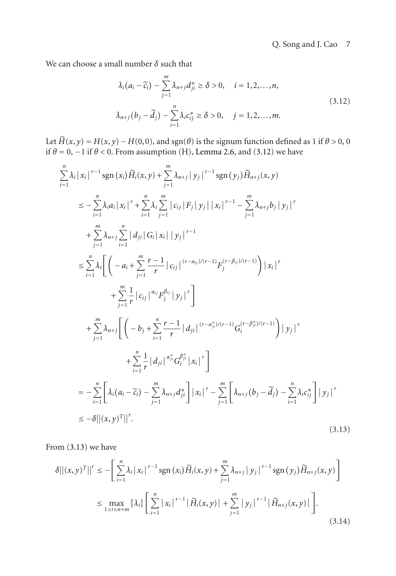We can choose a small number *δ* such that

<span id="page-6-0"></span>
$$
\lambda_i (a_i - \tilde{c}_i) - \sum_{j=1}^m \lambda_{n+j} d_{ji}^* \ge \delta > 0, \quad i = 1, 2, ..., n,
$$
  

$$
\lambda_{n+j} (b_j - \tilde{d}_j) - \sum_{i=1}^n \lambda_i c_{ij}^* \ge \delta > 0, \quad j = 1, 2, ..., m.
$$
 (3.12)

Let  $\widetilde{H}(x, y) = H(x, y) - H(0, 0)$ , and sgn( $\theta$ ) is the signum function defined as 1 if  $\theta > 0$ , 0 if  $\theta = 0, -1$  if  $\theta < 0$ . From assumption (H), [Lemma 2.6,](#page-3-0) and [\(3.12\)](#page-6-0) we have

$$
\sum_{i=1}^{n} \lambda_{i} |x_{i}|^{r-1} \operatorname{sgn}(x_{i}) \widetilde{H}_{i}(x, y) + \sum_{j=1}^{m} \lambda_{n+j} |y_{j}|^{r-1} \operatorname{sgn}(y_{j}) \widetilde{H}_{n+j}(x, y)
$$
\n
$$
\leq - \sum_{i=1}^{n} \lambda_{i} a_{i} |x_{i}|^{r} + \sum_{i=1}^{n} \lambda_{i} \sum_{j=1}^{m} |c_{ij}| F_{j} |y_{j}| |x_{i}|^{r-1} - \sum_{j=1}^{m} \lambda_{n+j} b_{j} |y_{j}|^{r}
$$
\n
$$
+ \sum_{j=1}^{m} \lambda_{n+j} \sum_{i=1}^{n} |d_{ji}| G_{i} |x_{i}| |y_{j}|^{r-1}
$$
\n
$$
\leq \sum_{i=1}^{n} \lambda_{i} \left[ \left( -a_{i} + \sum_{j=1}^{m} \frac{r-1}{r} |c_{ij}|^{(r-a_{ij})/(r-1)} F_{j}^{(r-\beta_{ij})/(r-1)} \right) |x_{i}|^{r} + \sum_{j=1}^{m} \frac{1}{r} |c_{ij}|^{a_{ij}} F_{j}^{\beta_{ij}} |y_{j}|^{r} \right]
$$
\n
$$
+ \sum_{j=1}^{m} \lambda_{n+j} \left[ \left( -b_{j} + \sum_{i=1}^{n} \frac{r-1}{r} |d_{ji}|^{(r-a_{ij}^{*})/(r-1)} G_{i}^{(r-\beta_{ji}^{*})/(r-1)} \right) |y_{j}|^{r} + \sum_{i=1}^{n} \frac{1}{r} |d_{ji}|^{a_{ij}^{*}} G_{i}^{\beta_{ji}^{*}} |x_{i}|^{r} \right]
$$
\n
$$
= - \sum_{i=1}^{n} \left[ \lambda_{i} (a_{i} - \widetilde{c}_{i}) - \sum_{j=1}^{m} \lambda_{n+j} d_{ji}^{*} \right] |x_{i}|^{r} - \sum_{j=1}^{m} \left[ \lambda_{n+j} (b_{j} - \widetilde{d}_{j}) - \sum_{i=1}^{n} \lambda_{i} c_{ij}^{*} \right] |y_{j}|^{r}
$$
\n
$$
\leq -\delta ||(x, y
$$

From [\(3.13\)](#page-6-1) we have

<span id="page-6-1"></span>
$$
\delta ||(x, y)^{T}||^{r} \leq -\left[\sum_{i=1}^{n} \lambda_{i} |x_{i}|^{r-1} \operatorname{sgn}(x_{i}) \widetilde{H}_{i}(x, y) + \sum_{j=1}^{m} \lambda_{n+j} |y_{j}|^{r-1} \operatorname{sgn}(y_{j}) \widetilde{H}_{n+j}(x, y)\right]
$$
  

$$
\leq \max_{1 \leq i \leq n+m} {\lambda_{i}} \left[\sum_{i=1}^{n} |x_{i}|^{r-1} |\widetilde{H}_{i}(x, y)| + \sum_{j=1}^{m} |y_{j}|^{r-1} |\widetilde{H}_{n+j}(x, y)|\right].
$$
 (3.14)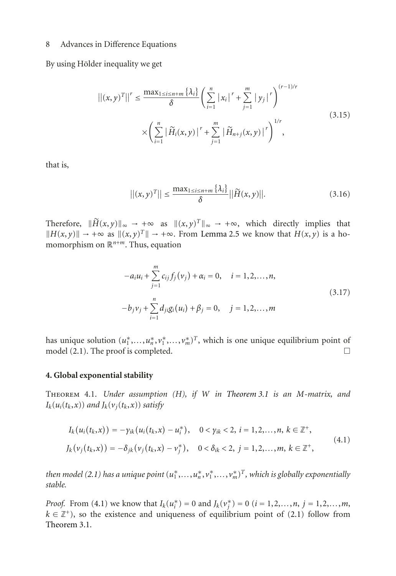By using Hölder inequality we get

$$
||(x,y)^{T}||^{r} \leq \frac{\max_{1 \leq i \leq n+m} {\{\lambda_{i}\}}}{\delta} \left(\sum_{i=1}^{n} |x_{i}|^{r} + \sum_{j=1}^{m} |y_{j}|^{r}\right)^{(r-1)/r}
$$
  
 
$$
\times \left(\sum_{i=1}^{n} |\widetilde{H}_{i}(x,y)|^{r} + \sum_{j=1}^{m} |\widetilde{H}_{n+j}(x,y)|^{r}\right)^{1/r},
$$
\n(3.15)

that is,

$$
\left| \left| (x,y)^{T} \right| \right| \leq \frac{\max_{1 \leq i \leq n+m} \left\{ \lambda_{i} \right\}}{\delta} \left| \left| \widetilde{H}(x,y) \right| \right|.
$$
 (3.16)

Therefore,  $\|\widetilde{H}(x,y)\|_{\infty} \to +\infty$  as  $\|(x,y)^{T}\|_{\infty} \to +\infty$ , which directly implies that  $||H(x, y)||$  → +∞ as  $||(x, y)^T||$  → +∞. From [Lemma 2.5](#page-3-2) we know that  $H(x, y)$  is a homomorphism on R*n*+*m*. Thus, equation

$$
-a_i u_i + \sum_{j=1}^{m} c_{ij} f_j(v_j) + \alpha_i = 0, \quad i = 1, 2, ..., n,
$$
  

$$
-b_j v_j + \sum_{i=1}^{n} d_{ji} g_i(u_i) + \beta_j = 0, \quad j = 1, 2, ..., m
$$
 (3.17)

has unique solution  $(u_1^*,...,u_n^*,v_1^*,...,v_m^*)^T$ , which is one unique equilibrium point of model  $(2.1)$ . The proof is completed.  $\Box$ 

#### **4. Global exponential stability**

Theorem 4.1. *Under assumption (H), if W in [Theorem 3.1](#page-4-0) is an M-matrix, and*  $I_k(u_i(t_k, x))$  *and*  $J_k(v_i(t_k, x))$  *satisfy* 

<span id="page-7-0"></span>
$$
I_k(u_i(t_k, x)) = -\gamma_{ik}(u_i(t_k, x) - u_i^*), \quad 0 < \gamma_{ik} < 2, \ i = 1, 2, ..., n, \ k \in \mathbb{Z}^+,
$$
  

$$
J_k(v_j(t_k, x)) = -\delta_{jk}(v_j(t_k, x) - v_j^*), \quad 0 < \delta_{ik} < 2, \ j = 1, 2, ..., m, \ k \in \mathbb{Z}^+,
$$
 (4.1)

*then model [\(2.1\)](#page-1-0) has a unique point*  $(u_1^*,...,u_n^*,v_1^*,...,v_m^*)^T$ *, which is globally exponentially stable.*

*Proof.* From [\(4.1\)](#page-7-0) we know that  $I_k(u_i^*) = 0$  and  $J_k(v_j^*) = 0$  ( $i = 1, 2, ..., n$ ,  $j = 1, 2, ..., m$ ,  $k \in \mathbb{Z}^+$ , so the existence and uniqueness of equilibrium point of [\(2.1\)](#page-1-0) follow from [Theorem 3.1.](#page-4-0)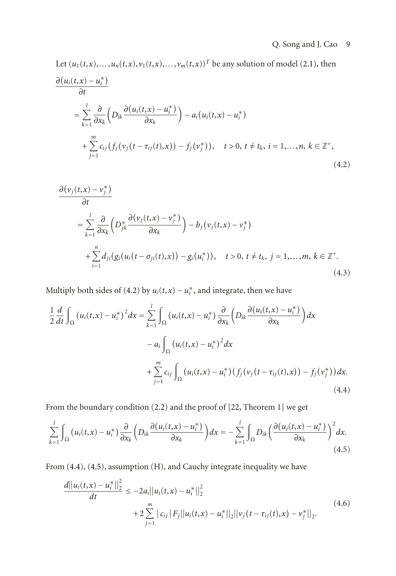Let  $(u_1(t, x),..., u_n(t, x), v_1(t, x),..., v_m(t, x))^T$  be any solution of model [\(2.1\)](#page-1-0), then  $\partial (u_i(t,x) - u_i^*)$ *∂t*  $=\sum$ *k*=1 *∂ ∂xk*  $\left(D_{ik}\frac{\partial(u_i(t,x)-u_i^*)}{\partial x_i}\right)$ *∂xk*  $(-a_i(u_i(t,x) - u_i^*))$  $+\sum^m$ *j*=1  $c_{ij}(f_j(v_j(t-\tau_{ij}(t),x)) - f_j(v_j^*))$ ,  $t > 0$ ,  $t \neq t_k$ ,  $i = 1,...,n$ ,  $k \in \mathbb{Z}^+$ , (4.2)

<span id="page-8-3"></span><span id="page-8-0"></span>
$$
\frac{\partial (v_j(t, x) - v_j^*)}{\partial t}
$$
\n
$$
= \sum_{k=1}^l \frac{\partial}{\partial x_k} \left( D_{jk}^* \frac{\partial (v_j(t, x) - v_j^*)}{\partial x_k} \right) - b_j (v_j(t, x) - v_j^*)
$$
\n
$$
+ \sum_{i=1}^n d_{ji} (g_i (u_i(t - \sigma_{ji}(t), x)) - g_i(u_i^*)), \quad t > 0, t \neq t_k, j = 1, ..., m, k \in \mathbb{Z}^+.
$$
\n(4.3)

Multiply both sides of  $(4.2)$  by  $u_i(t,x) - u_i^*$ , and integrate, then we have

$$
\frac{1}{2} \frac{d}{dt} \int_{\Omega} (u_i(t, x) - u_i^*)^2 dx = \sum_{k=1}^{l} \int_{\Omega} (u_i(t, x) - u_i^*) \frac{\partial}{\partial x_k} \left( D_{ik} \frac{\partial (u_i(t, x) - u_i^*)}{\partial x_k} \right) dx \n- a_i \int_{\Omega} (u_i(t, x) - u_i^*)^2 dx \n+ \sum_{j=1}^{m} c_{ij} \int_{\Omega} (u_i(t, x) - u_i^*) \left( f_j(v_j(t - \tau_{ij}(t), x)) - f_j(v_j^*) \right) dx.
$$
\n(4.4)

<span id="page-8-1"></span>From the boundary condition [\(2.2\)](#page-2-0) and the proof of [\[22,](#page-17-0) Theorem 1] we get

$$
\sum_{k=1}^{l} \int_{\Omega} \left( u_i(t, x) - u_i^* \right) \frac{\partial}{\partial x_k} \left( D_{ik} \frac{\partial \left( u_i(t, x) - u_i^* \right)}{\partial x_k} \right) dx = - \sum_{k=1}^{l} \int_{\Omega} D_{ik} \left( \frac{\partial \left( u_i(t, x) - u_i^* \right)}{\partial x_k} \right)^2 dx. \tag{4.5}
$$

From [\(4.4\)](#page-8-1), [\(4.5\)](#page-8-2), assumption (H), and Cauchy integrate inequality we have

<span id="page-8-2"></span>
$$
\frac{d||u_i(t,x) - u_i^*||_2^2}{dt} \le -2a_i||u_i(t,x) - u_i^*||_2^2
$$
  
+2 $\sum_{j=1}^m |c_{ij}|F_j||u_i(t,x) - u_i^*||_2||v_j(t - \tau_{ij}(t),x) - v_j^*||_2.$  (4.6)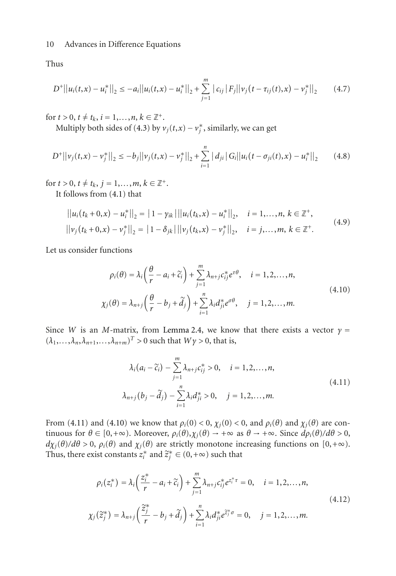Thus

<span id="page-9-2"></span>
$$
D^{+}||u_{i}(t,x)-u_{i}^{*}||_{2} \leq -a_{i}||u_{i}(t,x)-u_{i}^{*}||_{2}+\sum_{j=1}^{m}|c_{ij}|F_{j}||v_{j}(t-\tau_{ij}(t),x)-v_{j}^{*}||_{2}
$$
 (4.7)

for  $t > 0$ ,  $t \neq t_k$ ,  $i = 1,...,n$ ,  $k \in \mathbb{Z}^+$ .

Multiply both sides of [\(4.3\)](#page-8-3) by  $v_j(t,x) - v_j^*$ , similarly, we can get

$$
D^{+}||v_{j}(t,x)-v_{j}^{*}||_{2} \leq -b_{j}||v_{j}(t,x)-v_{j}^{*}||_{2}+\sum_{i=1}^{n} |d_{ji}|G_{i}||u_{i}(t-\sigma_{ji}(t),x)-u_{i}^{*}||_{2}
$$
 (4.8)

for  $t > 0$ ,  $t \neq t_k$ ,  $j = 1,...,m$ ,  $k \in \mathbb{Z}^+$ .

It follows from [\(4.1\)](#page-7-0) that

$$
||u_i(t_k + 0, x) - u_i^*||_2 = |1 - \gamma_{ik}| ||u_i(t_k, x) - u_i^*||_2, \quad i = 1,...,n, k \in \mathbb{Z}^+,
$$
  

$$
||\nu_j(t_k + 0, x) - \nu_j^*||_2 = |1 - \delta_{jk}| ||\nu_j(t_k, x) - \nu_j^*||_2, \quad i = j,...,m, k \in \mathbb{Z}^+.
$$
 (4.9)

Let us consider functions

<span id="page-9-4"></span><span id="page-9-3"></span><span id="page-9-1"></span>
$$
\rho_i(\theta) = \lambda_i \left( \frac{\theta}{r} - a_i + \widetilde{c}_i \right) + \sum_{j=1}^m \lambda_{n+j} c_{ij}^* e^{\tau \theta}, \quad i = 1, 2, ..., n,
$$
  

$$
\chi_j(\theta) = \lambda_{n+j} \left( \frac{\theta}{r} - b_j + \widetilde{d}_j \right) + \sum_{i=1}^n \lambda_i d_{ji}^* e^{\sigma \theta}, \quad j = 1, 2, ..., m.
$$
 (4.10)

Since *W* is an *M*-matrix, from [Lemma 2.4,](#page-3-1) we know that there exists a vector  $\gamma$  =  $(\lambda_1, \ldots, \lambda_n, \lambda_{n+1}, \ldots, \lambda_{n+m})^T > 0$  such that  $W\gamma > 0$ , that is,

<span id="page-9-0"></span>
$$
\lambda_i (a_i - \tilde{c}_i) - \sum_{j=1}^m \lambda_{n+j} c_{ij}^* > 0, \quad i = 1, 2, ..., n,
$$
  

$$
\lambda_{n+j} (b_j - \tilde{d}_j) - \sum_{i=1}^n \lambda_i d_{ji}^* > 0, \quad j = 1, 2, ..., m.
$$
 (4.11)

From [\(4.11\)](#page-9-0) and [\(4.10\)](#page-9-1) we know that  $\rho_i(0) < 0$ ,  $\chi_i(0) < 0$ , and  $\rho_i(\theta)$  and  $\chi_i(\theta)$  are continuous for  $\theta \in [0, +\infty)$ . Moreover,  $\rho_i(\theta), \chi_i(\theta) \to +\infty$  as  $\theta \to +\infty$ . Since  $d\rho_i(\theta)/d\theta > 0$ ,  $d\chi_j(\theta)/d\theta > 0$ ,  $\rho_i(\theta)$  and  $\chi_j(\theta)$  are strictly monotone increasing functions on [0,+ $\infty$ ). Thus, there exist constants  $z_i^*$  and  $\widetilde{z}_j^* \in (0, +\infty)$  such that

<span id="page-9-5"></span>
$$
\rho_i(z_i^*) = \lambda_i \left(\frac{z_i^*}{r} - a_i + \widetilde{c}_i\right) + \sum_{j=1}^m \lambda_{n+j} c_{ij}^* e^{z_i^* \tau} = 0, \quad i = 1, 2, ..., n,
$$
  

$$
\chi_j(\widetilde{z}_j^*) = \lambda_{n+j} \left(\frac{\widetilde{z}_j^*}{r} - b_j + \widetilde{d}_j\right) + \sum_{i=1}^n \lambda_i d_{ji}^* e^{\widetilde{z}_j^* \sigma} = 0, \quad j = 1, 2, ..., m.
$$
\n(4.12)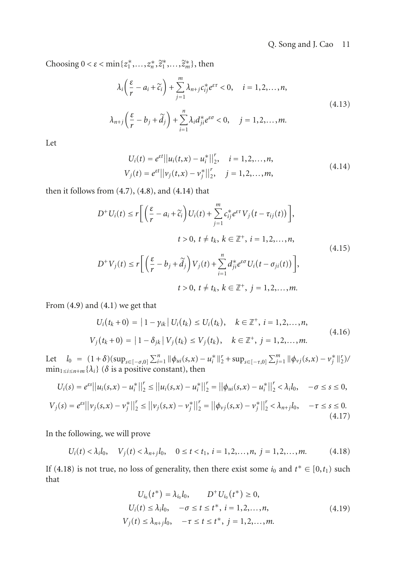Choosing  $0 < \varepsilon < \min\{z_1^*, \ldots, z_n^*, \tilde{z}_1^*, \ldots, \tilde{z}_m^*\}$ , then

$$
\lambda_i \left( \frac{\varepsilon}{r} - a_i + \widetilde{c}_i \right) + \sum_{j=1}^m \lambda_{n+j} c_{ij}^* e^{\varepsilon \tau} < 0, \quad i = 1, 2, \dots, n,
$$
\n
$$
\lambda_{n+j} \left( \frac{\varepsilon}{r} - b_j + \widetilde{d}_j \right) + \sum_{i=1}^n \lambda_i d_{ji}^* e^{\varepsilon \sigma} < 0, \quad j = 1, 2, \dots, m.
$$
\n
$$
(4.13)
$$

Let

<span id="page-10-3"></span><span id="page-10-2"></span><span id="page-10-0"></span>
$$
U_i(t) = e^{\varepsilon t} ||u_i(t, x) - u_i^*||_2^r, \quad i = 1, 2, ..., n,
$$
  
\n
$$
V_j(t) = e^{\varepsilon t} ||v_j(t, x) - v_j^*||_2^r, \quad j = 1, 2, ..., m,
$$
\n(4.14)

then it follows from  $(4.7)$ ,  $(4.8)$ , and  $(4.14)$  that

$$
D^{+}U_{i}(t) \leq r \bigg[ \left( \frac{\varepsilon}{r} - a_{i} + \widetilde{c}_{i} \right) U_{i}(t) + \sum_{j=1}^{m} c_{ij}^{*} e^{\varepsilon \tau} V_{j} \left( t - \tau_{ij}(t) \right) \bigg],
$$
  
\n
$$
t > 0, t \neq t_{k}, k \in \mathbb{Z}^{+}, i = 1, 2, ..., n,
$$
  
\n
$$
D^{+}V_{j}(t) \leq r \bigg[ \left( \frac{\varepsilon}{r} - b_{j} + \widetilde{d}_{j} \right) V_{j}(t) + \sum_{i=1}^{n} d_{ji}^{*} e^{\varepsilon \sigma} U_{i} \left( t - \sigma_{ji}(t) \right) \bigg],
$$
  
\n
$$
t > 0, t \neq t_{k}, k \in \mathbb{Z}^{+}, j = 1, 2, ..., m.
$$
  
\n(4.15)

From  $(4.9)$  and  $(4.1)$  we get that

<span id="page-10-4"></span>
$$
U_i(t_k + 0) = |1 - \gamma_{ik}| U_i(t_k) \le U_i(t_k), \quad k \in \mathbb{Z}^+, i = 1, 2, ..., n,
$$
  

$$
V_j(t_k + 0) = |1 - \delta_{jk}| V_j(t_k) \le V_j(t_k), \quad k \in \mathbb{Z}^+, j = 1, 2, ..., m.
$$
 (4.16)

Let  $l_0 = (1+\delta)(\sup_{s \in [-\sigma,0]} \sum_{i=1}^n ||\phi_{ui}(s,x) - u_i^*||_2^r + \sup_{s \in [-\tau,0]} \sum_{j=1}^m ||\phi_{vj}(s,x) - v_j^*||_2^r)$  $\min_{1 \le i \le n+m} {\{\lambda_i\}}$  ( $\delta$  is a positive constant), then

$$
U_i(s) = e^{\varepsilon s} ||u_i(s, x) - u_i^*||_2^r \le ||u_i(s, x) - u_i^*||_2^r = ||\phi_{ui}(s, x) - u_i^*||_2^r < \lambda_i l_0, \quad -\sigma \le s \le 0,
$$
  

$$
V_j(s) = e^{\varepsilon s} ||v_j(s, x) - v_j^*||_2^r \le ||v_j(s, x) - v_j^*||_2^r = ||\phi_{vj}(s, x) - v_j^*||_2^r < \lambda_{n+j} l_0, \quad -\tau \le s \le 0.
$$
  
(4.17)

In the following, we will prove

$$
U_i(t) < \lambda_i l_0, \quad V_j(t) < \lambda_{n+j} l_0, \quad 0 \le t < t_1, \ i = 1, 2, \dots, n, \ j = 1, 2, \dots, m. \tag{4.18}
$$

If [\(4.18\)](#page-10-1) is not true, no loss of generality, then there exist some  $i_0$  and  $t^* \in [0, t_1)$  such that

<span id="page-10-1"></span>
$$
U_{i_0}(t^*) = \lambda_{i_0} l_0, \qquad D^+ U_{i_0}(t^*) \ge 0,
$$
  
\n
$$
U_i(t) \le \lambda_i l_0, \quad -\sigma \le t \le t^*, \ i = 1, 2, ..., n,
$$
  
\n
$$
V_j(t) \le \lambda_{n+j} l_0, \quad -\tau \le t \le t^*, \ j = 1, 2, ..., m.
$$
\n(4.19)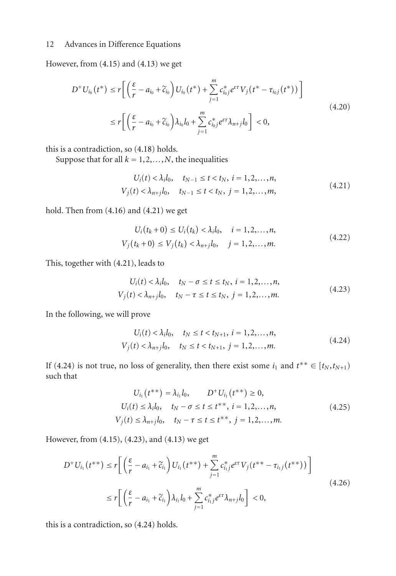However, from [\(4.15\)](#page-10-2) and [\(4.13\)](#page-10-3) we get

$$
D^{+}U_{i_{0}}(t^{*}) \le r \bigg[ \bigg( \frac{\varepsilon}{r} - a_{i_{0}} + \widetilde{c}_{i_{0}} \bigg) U_{i_{0}}(t^{*}) + \sum_{j=1}^{m} c_{i_{0}j}^{*} e^{\varepsilon \tau} V_{j} (t^{*} - \tau_{i_{0}j} (t^{*})) \bigg] \newline \le r \bigg[ \bigg( \frac{\varepsilon}{r} - a_{i_{0}} + \widetilde{c}_{i_{0}} \bigg) \lambda_{i_{0}} l_{0} + \sum_{j=1}^{m} c_{i_{0}j}^{*} e^{\varepsilon \tau} \lambda_{n+j} l_{0} \bigg] < 0,
$$
\n
$$
(4.20)
$$

this is a contradiction, so [\(4.18\)](#page-10-1) holds.

Suppose that for all  $k = 1, 2, \ldots, N$ , the inequalities

<span id="page-11-0"></span>
$$
U_i(t) < \lambda_i l_0, \quad t_{N-1} \le t < t_N, \ i = 1, 2, \dots, n,
$$
\n
$$
V_j(t) < \lambda_{n+j} l_0, \quad t_{N-1} \le t < t_N, \ j = 1, 2, \dots, m,
$$
\n
$$
(4.21)
$$

hold. Then from [\(4.16\)](#page-10-4) and [\(4.21\)](#page-11-0) we get

$$
U_i(t_k + 0) \le U_i(t_k) < \lambda_i l_0, \quad i = 1, 2, \dots, n,
$$
\n
$$
V_j(t_k + 0) \le V_j(t_k) < \lambda_{n+j} l_0, \quad j = 1, 2, \dots, m. \tag{4.22}
$$

This, together with [\(4.21\)](#page-11-0), leads to

<span id="page-11-2"></span>
$$
U_i(t) < \lambda_i l_0, \quad t_N - \sigma \le t \le t_N, \ i = 1, 2, \dots, n,
$$
\n
$$
V_j(t) < \lambda_{n+j} l_0, \quad t_N - \tau \le t \le t_N, \ j = 1, 2, \dots, m. \tag{4.23}
$$

In the following, we will prove

<span id="page-11-1"></span>
$$
U_i(t) < \lambda_i l_0, \quad t_N \le t < t_{N+1}, \ i = 1, 2, \dots, n,
$$
\n
$$
V_j(t) < \lambda_{n+j} l_0, \quad t_N \le t < t_{N+1}, \ j = 1, 2, \dots, m. \tag{4.24}
$$

If [\(4.24\)](#page-11-1) is not true, no loss of generality, then there exist some  $i_1$  and  $t^{**} \in [t_N, t_{N+1})$ such that

$$
U_{i_1}(t^{**}) = \lambda_{i_1} l_0, \qquad D^+ U_{i_1}(t^{**}) \ge 0,
$$
  
\n
$$
U_i(t) \le \lambda_i l_0, \quad t_N - \sigma \le t \le t^{**}, \quad i = 1, 2, ..., n,
$$
  
\n
$$
V_j(t) \le \lambda_{n+j} l_0, \quad t_N - \tau \le t \le t^{**}, \quad j = 1, 2, ..., m.
$$
\n(4.25)

However, from [\(4.15\)](#page-10-2), [\(4.23\)](#page-11-2), and [\(4.13\)](#page-10-3) we get

$$
D^{+}U_{i_{1}}(t^{**}) \le r \bigg[ \left( \frac{\varepsilon}{r} - a_{i_{1}} + \widetilde{c}_{i_{1}} \right) U_{i_{1}}(t^{**}) + \sum_{j=1}^{m} c_{i_{1}j}^{*} e^{\varepsilon \tau} V_{j}(t^{**} - \tau_{i_{1}j}(t^{**})) \bigg] \le r \bigg[ \left( \frac{\varepsilon}{r} - a_{i_{1}} + \widetilde{c}_{i_{1}} \right) \lambda_{i_{1}} I_{0} + \sum_{j=1}^{m} c_{i_{1}j}^{*} e^{\varepsilon \tau} \lambda_{n+j} I_{0} \bigg] < 0,
$$
\n(4.26)

this is a contradiction, so [\(4.24\)](#page-11-1) holds.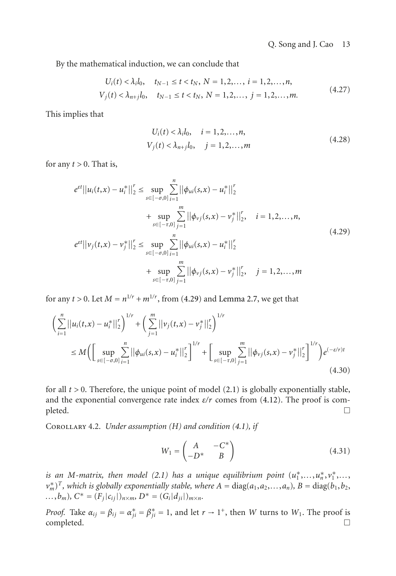By the mathematical induction, we can conclude that

$$
U_i(t) < \lambda_i l_0, \quad t_{N-1} \le t < t_N, \ N = 1, 2, \dots, \ i = 1, 2, \dots, n,
$$
\n
$$
V_j(t) < \lambda_{n+j} l_0, \quad t_{N-1} \le t < t_N, \ N = 1, 2, \dots, \ j = 1, 2, \dots, m. \tag{4.27}
$$

This implies that

<span id="page-12-0"></span>
$$
U_i(t) < \lambda_i l_0, \quad i = 1, 2, \dots, n,
$$
\n
$$
V_j(t) < \lambda_{n+j} l_0, \quad j = 1, 2, \dots, m
$$
\n
$$
(4.28)
$$

for any  $t > 0$ . That is,

$$
e^{\varepsilon t}||u_i(t,x) - u_i^*||_2^r \le \sup_{s \in [-\sigma,0]} \sum_{i=1}^n ||\phi_{ui}(s,x) - u_i^*||_2^r
$$
  
+ 
$$
\sup_{s \in [-\tau,0]} \sum_{j=1}^m ||\phi_{vj}(s,x) - v_j^*||_2^r, \quad i = 1,2,...,n,
$$
  

$$
e^{\varepsilon t}||v_j(t,x) - v_j^*||_2^r \le \sup_{s \in [-\sigma,0]} \sum_{i=1}^n ||\phi_{ui}(s,x) - u_i^*||_2^r
$$
  
+ 
$$
\sup_{s \in [-\tau,0]} \sum_{j=1}^m ||\phi_{vj}(s,x) - v_j^*||_2^r, \quad j = 1,2,...,m
$$
  
(4.29)

for any *t* > 0. Let  $M = n^{1/r} + m^{1/r}$ , from [\(4.29\)](#page-12-0) and [Lemma 2.7,](#page-3-3) we get that

$$
\left(\sum_{i=1}^{n}||u_{i}(t,x)-u_{i}^{*}||_{2}^{r}\right)^{1/r} + \left(\sum_{j=1}^{m}||v_{j}(t,x)-v_{j}^{*}||_{2}^{r}\right)^{1/r}
$$
\n
$$
\leq M\bigg(\bigg[\sup_{s\in[-\sigma,0]}\sum_{i=1}^{n}||\phi_{ui}(s,x)-u_{i}^{*}||_{2}^{r}\bigg]^{1/r} + \bigg[\sup_{s\in[-\tau,0]}\sum_{j=1}^{m}||\phi_{vj}(s,x)-v_{j}^{*}||_{2}^{r}\bigg]^{1/r}\bigg)e^{(-\varepsilon/r)t}
$$
\n(4.30)

for all  $t > 0$ . Therefore, the unique point of model  $(2.1)$  is globally exponentially stable, and the exponential convergence rate index  $\varepsilon/r$  comes from [\(4.12\)](#page-9-5). The proof is com- $\Box$  $\Box$ 

<span id="page-12-1"></span>Corollary 4.2. *Under assumption (H) and condition [\(4.1\)](#page-7-0), if*

$$
W_1 = \begin{pmatrix} A & -C^* \\ -D^* & B \end{pmatrix} \tag{4.31}
$$

is an M-matrix, then model  $(2.1)$  has a unique equilibrium point  $(u_1^*,...,u_n^*,v_1^*,...,$  $(v_m^*)^T$ *, which is globally exponentially stable, where*  $A = \text{diag}(a_1, a_2, \ldots, a_n)$ *,*  $B = \text{diag}(b_1, b_2, \ldots, b_n)$ *...,b<sub>m</sub>*)*,*  $C^* = (F_j|c_{ij}|)_{n \times m}$ ,  $D^* = (G_i|d_{ji}|)_{m \times n}$ .

*Proof.* Take  $\alpha_{ij} = \beta_{ij} = \alpha_{ji}^* = \beta_{ji}^* = 1$ , and let  $r \to 1^+$ , then *W* turns to  $W_1$ . The proof is  $\Box$  completed.  $\Box$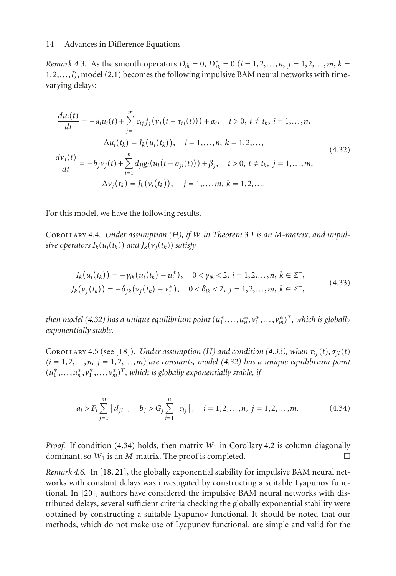*Remark 4.3.* As the smooth operators  $D_{ik} = 0$ ,  $D_{jk}^* = 0$  ( $i = 1, 2, ..., n$ ,  $j = 1, 2, ..., m$ ,  $k =$ 1,2,*...*,*l*), model [\(2.1\)](#page-1-0) becomes the following impulsive BAM neural networks with timevarying delays:

<span id="page-13-0"></span>
$$
\frac{du_i(t)}{dt} = -a_i u_i(t) + \sum_{j=1}^m c_{ij} f_j(v_j(t - \tau_{ij}(t))) + \alpha_i, \quad t > 0, t \neq t_k, i = 1,...,n,
$$
  

$$
\Delta u_i(t_k) = I_k(u_i(t_k)), \quad i = 1,...,n, k = 1,2,...,
$$
  

$$
\frac{dv_j(t)}{dt} = -b_j v_j(t) + \sum_{i=1}^n d_{ji} g_i(u_i(t - \sigma_{ji}(t))) + \beta_j, \quad t > 0, t \neq t_k, j = 1,...,m,
$$
  

$$
\Delta v_j(t_k) = J_k(v_i(t_k)), \quad j = 1,...,m, k = 1,2,...
$$
 (4.32)

For this model, we have the following results.

<span id="page-13-3"></span>Corollary 4.4. *Under assumption (H), if W in [Theorem 3.1](#page-4-0) is an M-matrix, and impulsive operators*  $I_k(u_i(t_k))$  *and*  $J_k(v_i(t_k))$  *satisfy* 

<span id="page-13-1"></span>
$$
I_k(u_i(t_k)) = -\gamma_{ik}(u_i(t_k) - u_i^*), \quad 0 < \gamma_{ik} < 2, \ i = 1, 2, \dots, n, \ k \in \mathbb{Z}^+, \\
J_k(v_j(t_k)) = -\delta_{jk}(v_j(t_k) - v_j^*), \quad 0 < \delta_{ik} < 2, \ j = 1, 2, \dots, m, \ k \in \mathbb{Z}^+, \tag{4.33}
$$

*then model (*4.32) has a unique equilibrium point  $(u_1^*,\ldots,u_n^*,v_1^*,\ldots,v_m^*)^T,$  which is globally *exponentially stable.*

COROLLARY 4.5 (see [\[18](#page-16-7)]). *Under assumption (H) and condition [\(4.33\)](#page-13-1), when*  $\tau_{ii}(t)$ ,  $\sigma_{ii}(t)$  $(i = 1, 2, \ldots, n, j = 1, 2, \ldots, m)$  are constants, model [\(4.32\)](#page-13-0) has a unique equilibrium point  $(u_1^*,...,u_n^*,v_1^*,...,v_m^*)^T$ , which is globally exponentially stable, if

<span id="page-13-2"></span>
$$
a_i > F_i \sum_{j=1}^m |d_{ji}|, \quad b_j > G_j \sum_{i=1}^n |c_{ij}|, \quad i = 1, 2, ..., n, \ j = 1, 2, ..., m.
$$
 (4.34)

*Proof.* If condition [\(4.34\)](#page-13-2) holds, then matrix  $W_1$  in [Corollary 4.2](#page-12-1) is column diagonally dominant, so  $W_1$  is an *M*-matrix. The proof is completed.  $\Box$ 

*Remark 4.6.* In [\[18](#page-16-7), [21\]](#page-16-8), the globally exponential stability for impulsive BAM neural networks with constant delays was investigated by constructing a suitable Lyapunov functional. In [\[20](#page-16-9)], authors have considered the impulsive BAM neural networks with distributed delays, several sufficient criteria checking the globally exponential stability were obtained by constructing a suitable Lyapunov functional. It should be noted that our methods, which do not make use of Lyapunov functional, are simple and valid for the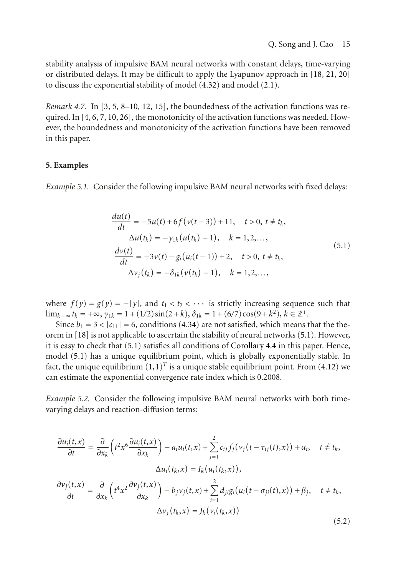stability analysis of impulsive BAM neural networks with constant delays, time-varying or distributed delays. It may be difficult to apply the Lyapunov approach in [\[18](#page-16-7), [21](#page-16-8), [20](#page-16-9)] to discuss the exponential stability of model [\(4.32\)](#page-13-0) and model [\(2.1\)](#page-1-0).

*Remark 4.7.* In [\[3,](#page-16-3) [5,](#page-16-10) [8](#page-16-5)[–10,](#page-16-11) [12,](#page-16-4) [15\]](#page-16-12), the boundedness of the activation functions was required. In  $[4, 6, 7, 10, 26]$  $[4, 6, 7, 10, 26]$  $[4, 6, 7, 10, 26]$  $[4, 6, 7, 10, 26]$  $[4, 6, 7, 10, 26]$  $[4, 6, 7, 10, 26]$  $[4, 6, 7, 10, 26]$  $[4, 6, 7, 10, 26]$  $[4, 6, 7, 10, 26]$  $[4, 6, 7, 10, 26]$ , the monotonicity of the activation functions was needed. However, the boundedness and monotonicity of the activation functions have been removed in this paper.

## **5. Examples**

*Example 5.1.* Consider the following impulsive BAM neural networks with fixed delays:

<span id="page-14-0"></span>
$$
\frac{du(t)}{dt} = -5u(t) + 6f(v(t-3)) + 11, \quad t > 0, t \neq t_k,\Delta u(t_k) = -\gamma_{1k}(u(t_k) - 1), \quad k = 1, 2, ...,\n\frac{dv(t)}{dt} = -3v(t) - g_i(u_i(t-1)) + 2, \quad t > 0, t \neq t_k,\Delta v_j(t_k) = -\delta_{1k}(v(t_k) - 1), \quad k = 1, 2, ...,
$$
\n(5.1)

where  $f(y) = g(y) = -|y|$ , and  $t_1 < t_2 < \cdots$  is strictly increasing sequence such that  $\lim_{k\to\infty} t_k = +\infty$ ,  $\gamma_{1k} = 1 + (1/2) \sin(2+k)$ ,  $\delta_{1k} = 1 + (6/7) \cos(9+k^2)$ ,  $k \in \mathbb{Z}^+$ .

Since  $b_1 = 3 < |c_{11}| = 6$ , conditions [\(4.34\)](#page-13-2) are not satisfied, which means that the theorem in [\[18\]](#page-16-7) is not applicable to ascertain the stability of neural networks [\(5.1\)](#page-14-0). However, it is easy to check that [\(5.1\)](#page-14-0) satisfies all conditions of [Corollary 4.4](#page-13-3) in this paper. Hence, model [\(5.1\)](#page-14-0) has a unique equilibrium point, which is globally exponentially stable. In fact, the unique equilibrium  $(1,1)^T$  is a unique stable equilibrium point. From [\(4.12\)](#page-9-5) we can estimate the exponential convergence rate index which is 0.2008.

*Example 5.2.* Consider the following impulsive BAM neural networks with both timevarying delays and reaction-diffusion terms:

<span id="page-14-1"></span>
$$
\frac{\partial u_i(t,x)}{\partial t} = \frac{\partial}{\partial x_k} \left( t^2 x^6 \frac{\partial u_i(t,x)}{\partial x_k} \right) - a_i u_i(t,x) + \sum_{j=1}^2 c_{ij} f_j \left( v_j \left( t - \tau_{ij}(t), x \right) \right) + \alpha_i, \quad t \neq t_k,
$$
\n
$$
\Delta u_i(t_k,x) = I_k \left( u_i(t_k,x) \right),
$$
\n
$$
\frac{\partial v_j(t,x)}{\partial t} = \frac{\partial}{\partial x_k} \left( t^4 x^2 \frac{\partial v_j(t,x)}{\partial x_k} \right) - b_j v_j(t,x) + \sum_{i=1}^2 d_{ji} g_i \left( u_i \left( t - \sigma_{ji}(t), x \right) \right) + \beta_j, \quad t \neq t_k,
$$
\n
$$
\Delta v_j \left( t_k, x \right) = J_k \left( v_i(t_k, x) \right) \tag{5.2}
$$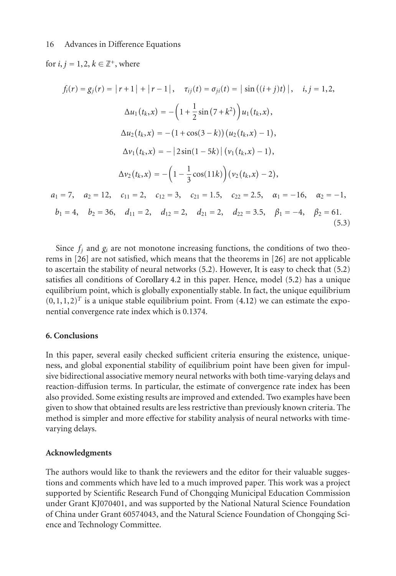for *i*,  $j = 1, 2, k \in \mathbb{Z}^+$ , where

$$
f_i(r) = g_j(r) = |r+1| + |r-1|, \quad \tau_{ij}(t) = \sigma_{ji}(t) = |\sin((i+j)t)|, \quad i, j = 1, 2,
$$
  
\n
$$
\Delta u_1(t_k, x) = -\left(1 + \frac{1}{2}\sin(7 + k^2)\right)u_1(t_k, x),
$$
  
\n
$$
\Delta u_2(t_k, x) = -(1 + \cos(3 - k))(u_2(t_k, x) - 1),
$$
  
\n
$$
\Delta v_1(t_k, x) = -|2\sin(1 - 5k)|(v_1(t_k, x) - 1),
$$
  
\n
$$
\Delta v_2(t_k, x) = -\left(1 - \frac{1}{3}\cos(11k)\right)(v_2(t_k, x) - 2),
$$
  
\n
$$
a_1 = 7, \quad a_2 = 12, \quad c_{11} = 2, \quad c_{12} = 3, \quad c_{21} = 1.5, \quad c_{22} = 2.5, \quad \alpha_1 = -16, \quad \alpha_2 = -1,
$$
  
\n
$$
b_1 = 4, \quad b_2 = 36, \quad d_{11} = 2, \quad d_{12} = 2, \quad d_{21} = 2, \quad d_{22} = 3.5, \quad \beta_1 = -4, \quad \beta_2 = 61.
$$
  
\n(5.3)

Since  $f_i$  and  $g_i$  are not monotone increasing functions, the conditions of two theorems in [\[26](#page-17-2)] are not satisfied, which means that the theorems in [\[26](#page-17-2)] are not applicable to ascertain the stability of neural networks [\(5.2\)](#page-14-1). However, It is easy to check that [\(5.2\)](#page-14-1) satisfies all conditions of [Corollary 4.2](#page-12-1) in this paper. Hence, model [\(5.2\)](#page-14-1) has a unique equilibrium point, which is globally exponentially stable. In fact, the unique equilibrium  $(0,1,1,2)^T$  is a unique stable equilibrium point. From [\(4.12\)](#page-9-5) we can estimate the exponential convergence rate index which is 0.1374.

## **6. Conclusions**

In this paper, several easily checked sufficient criteria ensuring the existence, uniqueness, and global exponential stability of equilibrium point have been given for impulsive bidirectional associative memory neural networks with both time-varying delays and reaction-diffusion terms. In particular, the estimate of convergence rate index has been also provided. Some existing results are improved and extended. Two examples have been given to show that obtained results are less restrictive than previously known criteria. The method is simpler and more effective for stability analysis of neural networks with timevarying delays.

## **Acknowledgments**

The authors would like to thank the reviewers and the editor for their valuable suggestions and comments which have led to a much improved paper. This work was a project supported by Scientific Research Fund of Chongqing Municipal Education Commission under Grant KJ070401, and was supported by the National Natural Science Foundation of China under Grant 60574043, and the Natural Science Foundation of Chongqing Science and Technology Committee.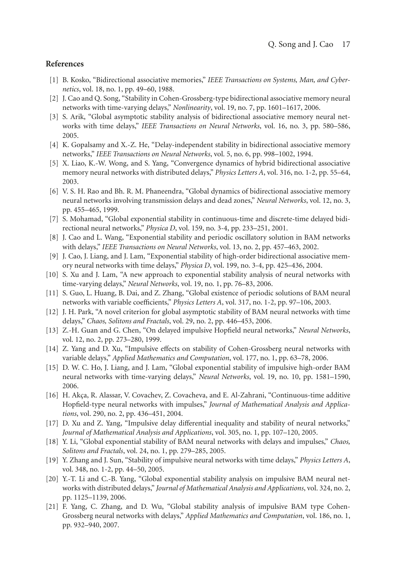## <span id="page-16-1"></span><span id="page-16-0"></span>**References**

- [1] B. Kosko, "Bidirectional associative memories," *IEEE Transactions on Systems, Man, and Cybernetics*, vol. 18, no. 1, pp. 49–60, 1988.
- <span id="page-16-2"></span>[2] J. Cao and Q. Song, "Stability in Cohen-Grossberg-type bidirectional associative memory neural networks with time-varying delays," *Nonlinearity*, vol. 19, no. 7, pp. 1601–1617, 2006.
- <span id="page-16-3"></span>[3] S. Arik, "Global asymptotic stability analysis of bidirectional associative memory neural networks with time delays," *IEEE Transactions on Neural Networks*, vol. 16, no. 3, pp. 580–586, 2005.
- <span id="page-16-13"></span>[4] K. Gopalsamy and X.-Z. He, "Delay-independent stability in bidirectional associative memory networks," *IEEE Transactions on Neural Networks*, vol. 5, no. 6, pp. 998–1002, 1994.
- <span id="page-16-10"></span>[5] X. Liao, K.-W. Wong, and S. Yang, "Convergence dynamics of hybrid bidirectional associative memory neural networks with distributed delays," *Physics Letters A*, vol. 316, no. 1-2, pp. 55–64, 2003.
- <span id="page-16-14"></span>[6] V. S. H. Rao and Bh. R. M. Phaneendra, "Global dynamics of bidirectional associative memory neural networks involving transmission delays and dead zones," *Neural Networks*, vol. 12, no. 3, pp. 455–465, 1999.
- <span id="page-16-15"></span>[7] S. Mohamad, "Global exponential stability in continuous-time and discrete-time delayed bidirectional neural networks," *Physica D*, vol. 159, no. 3-4, pp. 233–251, 2001.
- <span id="page-16-5"></span>[8] J. Cao and L. Wang, "Exponential stability and periodic oscillatory solution in BAM networks with delays," *IEEE Transactions on Neural Networks*, vol. 13, no. 2, pp. 457–463, 2002.
- [9] J. Cao, J. Liang, and J. Lam, "Exponential stability of high-order bidirectional associative memory neural networks with time delays," *Physica D*, vol. 199, no. 3-4, pp. 425–436, 2004.
- <span id="page-16-11"></span>[10] S. Xu and J. Lam, "A new approach to exponential stability analysis of neural networks with time-varying delays," *Neural Networks*, vol. 19, no. 1, pp. 76–83, 2006.
- [11] S. Guo, L. Huang, B. Dai, and Z. Zhang, "Global existence of periodic solutions of BAM neural networks with variable coefficients," *Physics Letters A*, vol. 317, no. 1-2, pp. 97–106, 2003.
- <span id="page-16-4"></span>[12] J. H. Park, "A novel criterion for global asymptotic stability of BAM neural networks with time delays," *Chaos, Solitons and Fractals*, vol. 29, no. 2, pp. 446–453, 2006.
- <span id="page-16-6"></span>[13] Z.-H. Guan and G. Chen, "On delayed impulsive Hopfield neural networks," *Neural Networks*, vol. 12, no. 2, pp. 273–280, 1999.
- [14] Z. Yang and D. Xu, "Impulsive effects on stability of Cohen-Grossberg neural networks with variable delays," *Applied Mathematics and Computation*, vol. 177, no. 1, pp. 63–78, 2006.
- <span id="page-16-12"></span>[15] D. W. C. Ho, J. Liang, and J. Lam, "Global exponential stability of impulsive high-order BAM neural networks with time-varying delays," *Neural Networks*, vol. 19, no. 10, pp. 1581–1590, 2006.
- [16] H. Akça, R. Alassar, V. Covachev, Z. Covacheva, and E. Al-Zahrani, "Continuous-time additive Hopfield-type neural networks with impulses," *Journal of Mathematical Analysis and Applications*, vol. 290, no. 2, pp. 436–451, 2004.
- [17] D. Xu and Z. Yang, "Impulsive delay differential inequality and stability of neural networks," *Journal of Mathematical Analysis and Applications*, vol. 305, no. 1, pp. 107–120, 2005.
- <span id="page-16-7"></span>[18] Y. Li, "Global exponential stability of BAM neural networks with delays and impulses," *Chaos, Solitons and Fractals*, vol. 24, no. 1, pp. 279–285, 2005.
- [19] Y. Zhang and J. Sun, "Stability of impulsive neural networks with time delays," *Physics Letters A*, vol. 348, no. 1-2, pp. 44–50, 2005.
- <span id="page-16-9"></span>[20] Y.-T. Li and C.-B. Yang, "Global exponential stability analysis on impulsive BAM neural networks with distributed delays," *Journal of Mathematical Analysis and Applications*, vol. 324, no. 2, pp. 1125–1139, 2006.
- <span id="page-16-8"></span>[21] F. Yang, C. Zhang, and D. Wu, "Global stability analysis of impulsive BAM type Cohen-Grossberg neural networks with delays," *Applied Mathematics and Computation*, vol. 186, no. 1, pp. 932–940, 2007.